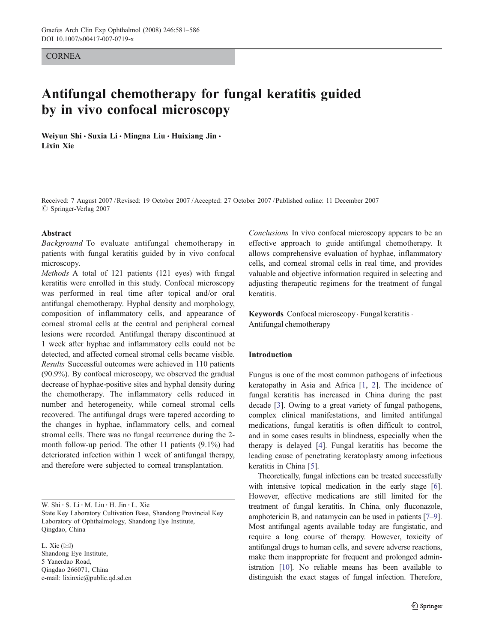#### **CORNEA**

# Antifungal chemotherapy for fungal keratitis guided by in vivo confocal microscopy

Weiyun Shi · Suxia Li · Mingna Liu · Huixiang Jin · Lixin Xie

Received: 7 August 2007 /Revised: 19 October 2007 /Accepted: 27 October 2007 / Published online: 11 December 2007  $\oslash$  Springer-Verlag 2007

#### Abstract

Background To evaluate antifungal chemotherapy in patients with fungal keratitis guided by in vivo confocal microscopy.

Methods A total of 121 patients (121 eyes) with fungal keratitis were enrolled in this study. Confocal microscopy was performed in real time after topical and/or oral antifungal chemotherapy. Hyphal density and morphology, composition of inflammatory cells, and appearance of corneal stromal cells at the central and peripheral corneal lesions were recorded. Antifungal therapy discontinued at 1 week after hyphae and inflammatory cells could not be detected, and affected corneal stromal cells became visible. Results Successful outcomes were achieved in 110 patients (90.9%). By confocal microscopy, we observed the gradual decrease of hyphae-positive sites and hyphal density during the chemotherapy. The inflammatory cells reduced in number and heterogeneity, while corneal stromal cells recovered. The antifungal drugs were tapered according to the changes in hyphae, inflammatory cells, and corneal stromal cells. There was no fungal recurrence during the 2 month follow-up period. The other 11 patients (9.1%) had deteriorated infection within 1 week of antifungal therapy, and therefore were subjected to corneal transplantation.

L. Xie  $(\boxtimes)$ Shandong Eye Institute, 5 Yanerdao Road, Qingdao 266071, China e-mail: lixinxie@public.qd.sd.cn

Conclusions In vivo confocal microscopy appears to be an effective approach to guide antifungal chemotherapy. It allows comprehensive evaluation of hyphae, inflammatory cells, and corneal stromal cells in real time, and provides valuable and objective information required in selecting and adjusting therapeutic regimens for the treatment of fungal keratitis.

Keywords Confocal microscopy · Fungal keratitis · Antifungal chemotherapy

# Introduction

Fungus is one of the most common pathogens of infectious keratopathy in Asia and Africa [\[1](#page-5-0), [2\]](#page-5-0). The incidence of fungal keratitis has increased in China during the past decade [[3\]](#page-5-0). Owing to a great variety of fungal pathogens, complex clinical manifestations, and limited antifungal medications, fungal keratitis is often difficult to control, and in some cases results in blindness, especially when the therapy is delayed [\[4](#page-5-0)]. Fungal keratitis has become the leading cause of penetrating keratoplasty among infectious keratitis in China [\[5](#page-5-0)].

Theoretically, fungal infections can be treated successfully with intensive topical medication in the early stage [[6\]](#page-5-0). However, effective medications are still limited for the treatment of fungal keratitis. In China, only fluconazole, amphotericin B, and natamycin can be used in patients [\[7](#page-5-0)–[9\]](#page-5-0). Most antifungal agents available today are fungistatic, and require a long course of therapy. However, toxicity of antifungal drugs to human cells, and severe adverse reactions, make them inappropriate for frequent and prolonged administration [[10](#page-5-0)]. No reliable means has been available to distinguish the exact stages of fungal infection. Therefore,

W. Shi · S. Li · M. Liu · H. Jin · L. Xie State Key Laboratory Cultivation Base, Shandong Provincial Key Laboratory of Ophthalmology, Shandong Eye Institute, Qingdao, China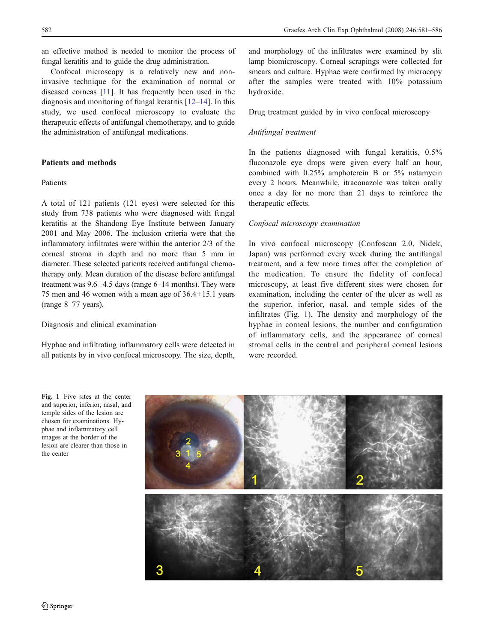an effective method is needed to monitor the process of fungal keratitis and to guide the drug administration.

Confocal microscopy is a relatively new and noninvasive technique for the examination of normal or diseased corneas [[11](#page-5-0)]. It has frequently been used in the diagnosis and monitoring of fungal keratitis [[12](#page-5-0)–[14\]](#page-5-0). In this study, we used confocal microscopy to evaluate the therapeutic effects of antifungal chemotherapy, and to guide the administration of antifungal medications.

## Patients and methods

## Patients

A total of 121 patients (121 eyes) were selected for this study from 738 patients who were diagnosed with fungal keratitis at the Shandong Eye Institute between January 2001 and May 2006. The inclusion criteria were that the inflammatory infiltrates were within the anterior 2/3 of the corneal stroma in depth and no more than 5 mm in diameter. These selected patients received antifungal chemotherapy only. Mean duration of the disease before antifungal treatment was  $9.6 \pm 4.5$  days (range  $6-14$  months). They were 75 men and 46 women with a mean age of  $36.4 \pm 15.1$  years (range 8–77 years).

#### Diagnosis and clinical examination

Hyphae and infiltrating inflammatory cells were detected in all patients by in vivo confocal microscopy. The size, depth,

and morphology of the infiltrates were examined by slit lamp biomicroscopy. Corneal scrapings were collected for smears and culture. Hyphae were confirmed by microcopy after the samples were treated with 10% potassium hydroxide.

Drug treatment guided by in vivo confocal microscopy

## Antifungal treatment

In the patients diagnosed with fungal keratitis, 0.5% fluconazole eye drops were given every half an hour, combined with 0.25% amphotercin B or 5% natamycin every 2 hours. Meanwhile, itraconazole was taken orally once a day for no more than 21 days to reinforce the therapeutic effects.

## Confocal microscopy examination

In vivo confocal microscopy (Confoscan 2.0, Nidek, Japan) was performed every week during the antifungal treatment, and a few more times after the completion of the medication. To ensure the fidelity of confocal microscopy, at least five different sites were chosen for examination, including the center of the ulcer as well as the superior, inferior, nasal, and temple sides of the infiltrates (Fig. 1). The density and morphology of the hyphae in corneal lesions, the number and configuration of inflammatory cells, and the appearance of corneal stromal cells in the central and peripheral corneal lesions were recorded.

Fig. 1 Five sites at the center and superior, inferior, nasal, and temple sides of the lesion are chosen for examinations. Hyphae and inflammatory cell images at the border of the lesion are clearer than those in the center

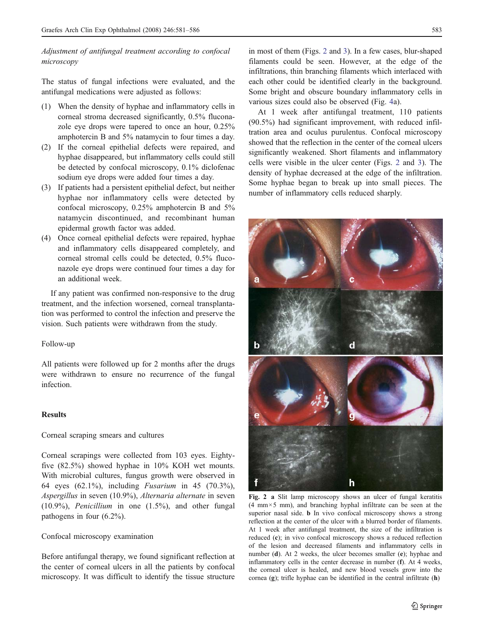<span id="page-2-0"></span>Adjustment of antifungal treatment according to confocal microscopy

The status of fungal infections were evaluated, and the antifungal medications were adjusted as follows:

- (1) When the density of hyphae and inflammatory cells in corneal stroma decreased significantly, 0.5% fluconazole eye drops were tapered to once an hour, 0.25% amphotercin B and 5% natamycin to four times a day.
- (2) If the corneal epithelial defects were repaired, and hyphae disappeared, but inflammatory cells could still be detected by confocal microscopy, 0.1% diclofenac sodium eye drops were added four times a day.
- (3) If patients had a persistent epithelial defect, but neither hyphae nor inflammatory cells were detected by confocal microscopy, 0.25% amphotercin B and 5% natamycin discontinued, and recombinant human epidermal growth factor was added.
- (4) Once corneal epithelial defects were repaired, hyphae and inflammatory cells disappeared completely, and corneal stromal cells could be detected, 0.5% fluconazole eye drops were continued four times a day for an additional week.

If any patient was confirmed non-responsive to the drug treatment, and the infection worsened, corneal transplantation was performed to control the infection and preserve the vision. Such patients were withdrawn from the study.

#### Follow-up

All patients were followed up for 2 months after the drugs were withdrawn to ensure no recurrence of the fungal infection.

## Results

Corneal scraping smears and cultures

Corneal scrapings were collected from 103 eyes. Eightyfive (82.5%) showed hyphae in 10% KOH wet mounts. With microbial cultures, fungus growth were observed in 64 eyes (62.1%), including Fusarium in 45 (70.3%), Aspergillus in seven (10.9%), Alternaria alternate in seven (10.9%), Penicillium in one (1.5%), and other fungal pathogens in four (6.2%).

## Confocal microscopy examination

Before antifungal therapy, we found significant reflection at the center of corneal ulcers in all the patients by confocal microscopy. It was difficult to identify the tissue structure

in most of them (Figs. 2 and [3\)](#page-3-0). In a few cases, blur-shaped filaments could be seen. However, at the edge of the infiltrations, thin branching filaments which interlaced with each other could be identified clearly in the background. Some bright and obscure boundary inflammatory cells in various sizes could also be observed (Fig. [4](#page-4-0)a).

At 1 week after antifungal treatment, 110 patients (90.5%) had significant improvement, with reduced infiltration area and oculus purulentus. Confocal microscopy showed that the reflection in the center of the corneal ulcers significantly weakened. Short filaments and inflammatory cells were visible in the ulcer center (Figs. 2 and [3](#page-3-0)). The density of hyphae decreased at the edge of the infiltration. Some hyphae began to break up into small pieces. The number of inflammatory cells reduced sharply.



Fig. 2 a Slit lamp microscopy shows an ulcer of fungal keratitis (4 mm×5 mm), and branching hyphal infiltrate can be seen at the superior nasal side. b In vivo confocal microscopy shows a strong reflection at the center of the ulcer with a blurred border of filaments. At 1 week after antifungal treatment, the size of the infiltration is reduced (c); in vivo confocal microscopy shows a reduced reflection of the lesion and decreased filaments and inflammatory cells in number (d). At 2 weeks, the ulcer becomes smaller (e); hyphae and inflammatory cells in the center decrease in number (f). At 4 weeks, the corneal ulcer is healed, and new blood vessels grow into the cornea (g); trifle hyphae can be identified in the central infiltrate (h)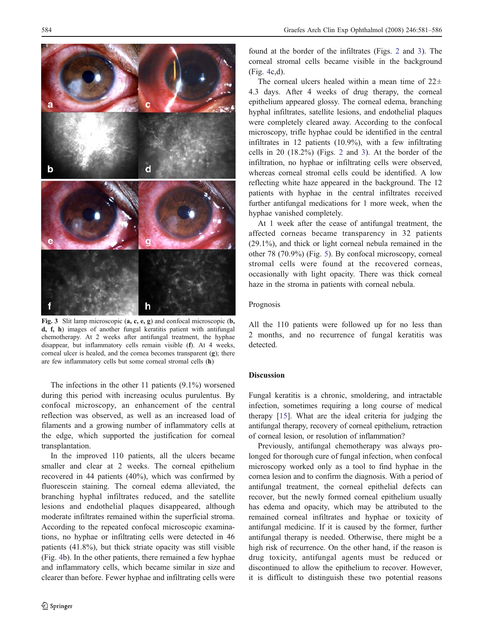<span id="page-3-0"></span>

Fig. 3 Slit lamp microscopic (a, c, e, g) and confocal microscopic (b, d, f, h) images of another fungal keratitis patient with antifungal chemotherapy. At 2 weeks after antifungal treatment, the hyphae disappear, but inflammatory cells remain visible (f). At 4 weeks, corneal ulcer is healed, and the cornea becomes transparent (g); there are few inflammatory cells but some corneal stromal cells (h)

The infections in the other 11 patients (9.1%) worsened during this period with increasing oculus purulentus. By confocal microscopy, an enhancement of the central reflection was observed, as well as an increased load of filaments and a growing number of inflammatory cells at the edge, which supported the justification for corneal transplantation.

In the improved 110 patients, all the ulcers became smaller and clear at 2 weeks. The corneal epithelium recovered in 44 patients (40%), which was confirmed by fluorescein staining. The corneal edema alleviated, the branching hyphal infiltrates reduced, and the satellite lesions and endothelial plaques disappeared, although moderate infiltrates remained within the superficial stroma. According to the repeated confocal microscopic examinations, no hyphae or infiltrating cells were detected in 46 patients (41.8%), but thick striate opacity was still visible (Fig. [4](#page-4-0)b). In the other patients, there remained a few hyphae and inflammatory cells, which became similar in size and clearer than before. Fewer hyphae and infiltrating cells were

found at the border of the infiltrates (Figs. [2](#page-2-0) and 3). The corneal stromal cells became visible in the background (Fig. [4](#page-4-0)c,d).

The corneal ulcers healed within a mean time of  $22\pm$ 4.3 days. After 4 weeks of drug therapy, the corneal epithelium appeared glossy. The corneal edema, branching hyphal infiltrates, satellite lesions, and endothelial plaques were completely cleared away. According to the confocal microscopy, trifle hyphae could be identified in the central infiltrates in 12 patients (10.9%), with a few infiltrating cells in 20 (18.2%) (Figs. [2](#page-2-0) and 3). At the border of the infiltration, no hyphae or infiltrating cells were observed, whereas corneal stromal cells could be identified. A low reflecting white haze appeared in the background. The 12 patients with hyphae in the central infiltrates received further antifungal medications for 1 more week, when the hyphae vanished completely.

At 1 week after the cease of antifungal treatment, the affected corneas became transparency in 32 patients (29.1%), and thick or light corneal nebula remained in the other 78 (70.9%) (Fig. [5](#page-4-0)). By confocal microscopy, corneal stromal cells were found at the recovered corneas, occasionally with light opacity. There was thick corneal haze in the stroma in patients with corneal nebula.

#### Prognosis

All the 110 patients were followed up for no less than 2 months, and no recurrence of fungal keratitis was detected.

## Discussion

Fungal keratitis is a chronic, smoldering, and intractable infection, sometimes requiring a long course of medical therapy [[15\]](#page-5-0). What are the ideal criteria for judging the antifungal therapy, recovery of corneal epithelium, retraction of corneal lesion, or resolution of inflammation?

Previously, antifungal chemotherapy was always prolonged for thorough cure of fungal infection, when confocal microscopy worked only as a tool to find hyphae in the cornea lesion and to confirm the diagnosis. With a period of antifungal treatment, the corneal epithelial defects can recover, but the newly formed corneal epithelium usually has edema and opacity, which may be attributed to the remained corneal infiltrates and hyphae or toxicity of antifungal medicine. If it is caused by the former, further antifungal therapy is needed. Otherwise, there might be a high risk of recurrence. On the other hand, if the reason is drug toxicity, antifungal agents must be reduced or discontinued to allow the epithelium to recover. However, it is difficult to distinguish these two potential reasons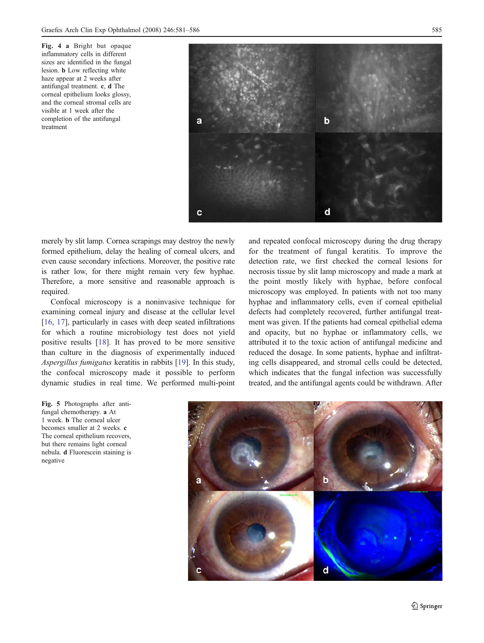<span id="page-4-0"></span>Fig. 4 a Bright but opaque inflammatory cells in different sizes are identified in the fungal lesion. b Low reflecting white haze appear at 2 weeks after antifungal treatment. c, d The corneal epithelium looks glossy, and the corneal stromal cells are visible at 1 week after the completion of the antifungal treatment



merely by slit lamp. Cornea scrapings may destroy the newly formed epithelium, delay the healing of corneal ulcers, and even cause secondary infections. Moreover, the positive rate is rather low, for there might remain very few hyphae. Therefore, a more sensitive and reasonable approach is required.

Confocal microscopy is a noninvasive technique for examining corneal injury and disease at the cellular level [\[16](#page-5-0), [17\]](#page-5-0), particularly in cases with deep seated infiltrations for which a routine microbiology test does not yield positive results [[18\]](#page-5-0). It has proved to be more sensitive than culture in the diagnosis of experimentally induced Aspergillus fumigatus keratitis in rabbits [[19\]](#page-5-0). In this study, the confocal microscopy made it possible to perform dynamic studies in real time. We performed multi-point

Fig. 5 Photographs after antifungal chemotherapy. a At 1 week. b The corneal ulcer becomes smaller at 2 weeks. c The corneal epithelium recovers, but there remains light corneal nebula. d Fluorescein staining is negative

and repeated confocal microscopy during the drug therapy for the treatment of fungal keratitis. To improve the detection rate, we first checked the corneal lesions for necrosis tissue by slit lamp microscopy and made a mark at the point mostly likely with hyphae, before confocal microscopy was employed. In patients with not too many hyphae and inflammatory cells, even if corneal epithelial defects had completely recovered, further antifungal treatment was given. If the patients had corneal epithelial edema and opacity, but no hyphae or inflammatory cells, we attributed it to the toxic action of antifungal medicine and reduced the dosage. In some patients, hyphae and infiltrating cells disappeared, and stromal cells could be detected, which indicates that the fungal infection was successfully treated, and the antifungal agents could be withdrawn. After